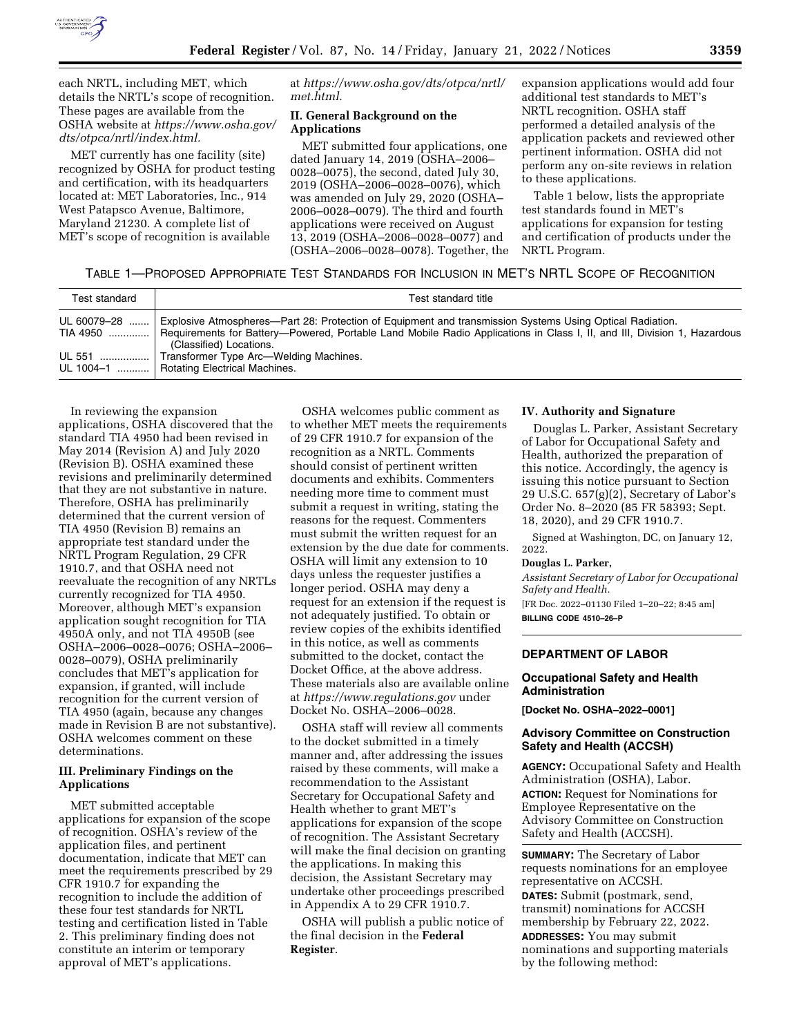

each NRTL, including MET, which details the NRTL's scope of recognition. These pages are available from the OSHA website at *[https://www.osha.gov/](https://www.osha.gov/dts/otpca/nrtl/index.html) [dts/otpca/nrtl/index.html.](https://www.osha.gov/dts/otpca/nrtl/index.html)* 

MET currently has one facility (site) recognized by OSHA for product testing and certification, with its headquarters located at: MET Laboratories, Inc., 914 West Patapsco Avenue, Baltimore, Maryland 21230. A complete list of MET's scope of recognition is available

at *[https://www.osha.gov/dts/otpca/nrtl/](https://www.osha.gov/dts/otpca/nrtl/met.html)  [met.html.](https://www.osha.gov/dts/otpca/nrtl/met.html)* 

# **II. General Background on the Applications**

MET submitted four applications, one dated January 14, 2019 (OSHA–2006– 0028–0075), the second, dated July 30, 2019 (OSHA–2006–0028–0076), which was amended on July 29, 2020 (OSHA– 2006–0028–0079). The third and fourth applications were received on August 13, 2019 (OSHA–2006–0028–0077) and (OSHA–2006–0028–0078). Together, the expansion applications would add four additional test standards to MET's NRTL recognition. OSHA staff performed a detailed analysis of the application packets and reviewed other pertinent information. OSHA did not perform any on-site reviews in relation to these applications.

Table 1 below, lists the appropriate test standards found in MET's applications for expansion for testing and certification of products under the NRTL Program.

# TABLE 1—PROPOSED APPROPRIATE TEST STANDARDS FOR INCLUSION IN MET'S NRTL SCOPE OF RECOGNITION

| Test standard           | Test standard title                                                                                                                                                                                                                                             |
|-------------------------|-----------------------------------------------------------------------------------------------------------------------------------------------------------------------------------------------------------------------------------------------------------------|
| UL 60079-28<br>TIA 4950 | Explosive Atmospheres—Part 28: Protection of Equipment and transmission Systems Using Optical Radiation.<br>Requirements for Battery—Powered, Portable Land Mobile Radio Applications in Class I, II, and III, Division 1, Hazardous<br>(Classified) Locations. |
| UL 551   <br>UL 1004-1  | Transformer Type Arc-Welding Machines.<br><b>Rotating Electrical Machines.</b>                                                                                                                                                                                  |

In reviewing the expansion applications, OSHA discovered that the standard TIA 4950 had been revised in May 2014 (Revision A) and July 2020 (Revision B). OSHA examined these revisions and preliminarily determined that they are not substantive in nature. Therefore, OSHA has preliminarily determined that the current version of TIA 4950 (Revision B) remains an appropriate test standard under the NRTL Program Regulation, 29 CFR 1910.7, and that OSHA need not reevaluate the recognition of any NRTLs currently recognized for TIA 4950. Moreover, although MET's expansion application sought recognition for TIA 4950A only, and not TIA 4950B (see OSHA–2006–0028–0076; OSHA–2006– 0028–0079), OSHA preliminarily concludes that MET's application for expansion, if granted, will include recognition for the current version of TIA 4950 (again, because any changes made in Revision B are not substantive). OSHA welcomes comment on these determinations.

## **III. Preliminary Findings on the Applications**

MET submitted acceptable applications for expansion of the scope of recognition. OSHA's review of the application files, and pertinent documentation, indicate that MET can meet the requirements prescribed by 29 CFR 1910.7 for expanding the recognition to include the addition of these four test standards for NRTL testing and certification listed in Table 2. This preliminary finding does not constitute an interim or temporary approval of MET's applications.

OSHA welcomes public comment as to whether MET meets the requirements of 29 CFR 1910.7 for expansion of the recognition as a NRTL. Comments should consist of pertinent written documents and exhibits. Commenters needing more time to comment must submit a request in writing, stating the reasons for the request. Commenters must submit the written request for an extension by the due date for comments. OSHA will limit any extension to 10 days unless the requester justifies a longer period. OSHA may deny a request for an extension if the request is not adequately justified. To obtain or review copies of the exhibits identified in this notice, as well as comments submitted to the docket, contact the Docket Office, at the above address. These materials also are available online at *<https://www.regulations.gov>* under Docket No. OSHA–2006–0028.

OSHA staff will review all comments to the docket submitted in a timely manner and, after addressing the issues raised by these comments, will make a recommendation to the Assistant Secretary for Occupational Safety and Health whether to grant MET's applications for expansion of the scope of recognition. The Assistant Secretary will make the final decision on granting the applications. In making this decision, the Assistant Secretary may undertake other proceedings prescribed in Appendix A to 29 CFR 1910.7.

OSHA will publish a public notice of the final decision in the **Federal Register**.

### **IV. Authority and Signature**

Douglas L. Parker, Assistant Secretary of Labor for Occupational Safety and Health, authorized the preparation of this notice. Accordingly, the agency is issuing this notice pursuant to Section 29 U.S.C. 657(g)(2), Secretary of Labor's Order No. 8–2020 (85 FR 58393; Sept. 18, 2020), and 29 CFR 1910.7.

Signed at Washington, DC, on January 12, 2022.

#### **Douglas L. Parker,**

*Assistant Secretary of Labor for Occupational Safety and Health.* 

[FR Doc. 2022–01130 Filed 1–20–22; 8:45 am] **BILLING CODE 4510–26–P** 

# **DEPARTMENT OF LABOR**

### **Occupational Safety and Health Administration**

**[Docket No. OSHA–2022–0001]** 

#### **Advisory Committee on Construction Safety and Health (ACCSH)**

**AGENCY:** Occupational Safety and Health Administration (OSHA), Labor. **ACTION:** Request for Nominations for Employee Representative on the Advisory Committee on Construction Safety and Health (ACCSH).

**SUMMARY:** The Secretary of Labor requests nominations for an employee representative on ACCSH.

**DATES:** Submit (postmark, send, transmit) nominations for ACCSH membership by February 22, 2022. **ADDRESSES:** You may submit nominations and supporting materials

by the following method: